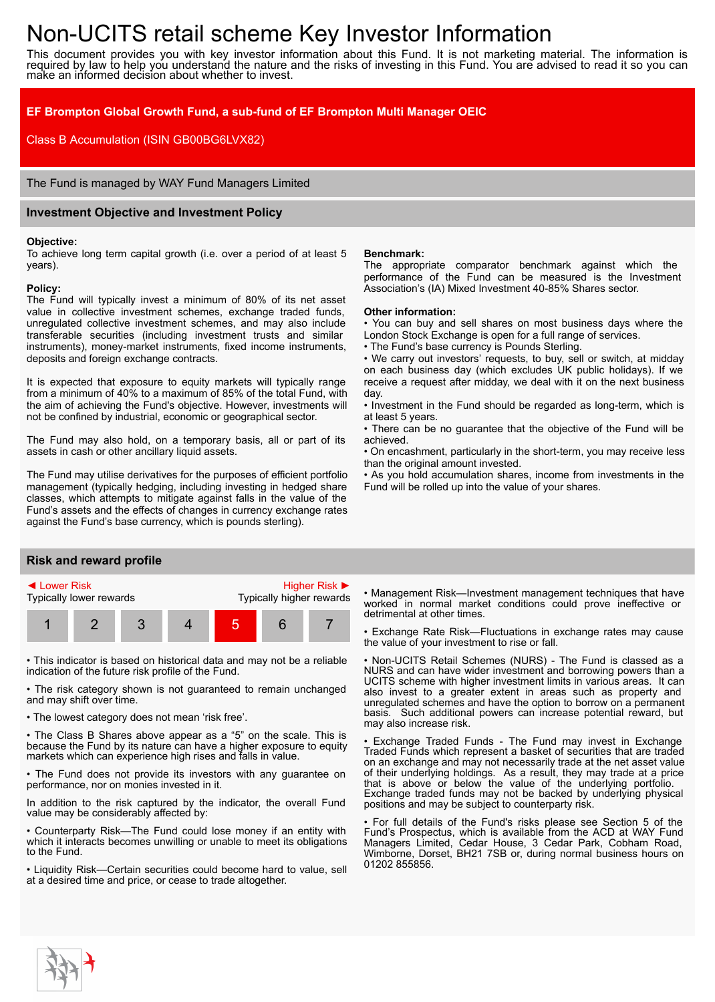# Non-UCITS retail scheme Key Investor Information

This document provides you with key investor information about this Fund. It is not marketing material. The information is required by law to help you understand the nature and the risks of investing in this Fund. You are advised to read it so you can make an informed decision about whether to invest.

## **EF Brompton Global Growth Fund, a sub-fund of EF Brompton Multi Manager OEIC**

Class B Accumulation (ISIN GB00BG6LVX82)

The Fund is managed by WAY Fund Managers Limited

## **Investment Objective and Investment Policy**

#### **Objective:**

To achieve long term capital growth (i.e. over a period of at least 5 years).

#### **Policy:**

The Fund will typically invest a minimum of 80% of its net asset value in collective investment schemes, exchange traded funds, unregulated collective investment schemes, and may also include transferable securities (including investment trusts and similar instruments), money-market instruments, fixed income instruments, deposits and foreign exchange contracts.

It is expected that exposure to equity markets will typically range from a minimum of 40% to a maximum of 85% of the total Fund, with the aim of achieving the Fund's objective. However, investments will not be confined by industrial, economic or geographical sector.

The Fund may also hold, on a temporary basis, all or part of its assets in cash or other ancillary liquid assets.

The Fund may utilise derivatives for the purposes of efficient portfolio management (typically hedging, including investing in hedged share classes, which attempts to mitigate against falls in the value of the Fund's assets and the effects of changes in currency exchange rates against the Fund's base currency, which is pounds sterling).

## **Risk and reward profile**



• This indicator is based on historical data and may not be a reliable indication of the future risk profile of the Fund.

• The risk category shown is not guaranteed to remain unchanged and may shift over time.

• The lowest category does not mean 'risk free'.

• The Class B Shares above appear as a "5" on the scale. This is because the Fund by its nature can have a higher exposure to equity markets which can experience high rises and falls in value.

• The Fund does not provide its investors with any guarantee on performance, nor on monies invested in it.

In addition to the risk captured by the indicator, the overall Fund value may be considerably affected by:

• Counterparty Risk—The Fund could lose money if an entity with which it interacts becomes unwilling or unable to meet its obligations to the Fund.

• Liquidity Risk—Certain securities could become hard to value, sell at a desired time and price, or cease to trade altogether.

#### **Benchmark:**

The appropriate comparator benchmark against which the performance of the Fund can be measured is the Investment Association's (IA) Mixed Investment 40-85% Shares sector.

#### **Other information:**

• You can buy and sell shares on most business days where the London Stock Exchange is open for a full range of services.

• The Fund's base currency is Pounds Sterling.

• We carry out investors' requests, to buy, sell or switch, at midday on each business day (which excludes UK public holidays). If we receive a request after midday, we deal with it on the next business day.

• Investment in the Fund should be regarded as long-term, which is at least 5 years.

• There can be no guarantee that the objective of the Fund will be achieved.

• On encashment, particularly in the short-term, you may receive less than the original amount invested.

• As you hold accumulation shares, income from investments in the Fund will be rolled up into the value of your shares.

• Management Risk—Investment management techniques that have worked in normal market conditions could prove ineffective or detrimental at other times.

• Exchange Rate Risk—Fluctuations in exchange rates may cause the value of your investment to rise or fall.

• Non-UCITS Retail Schemes (NURS) - The Fund is classed as a NURS and can have wider investment and borrowing powers than a UCITS scheme with higher investment limits in various areas. It can also invest to a greater extent in areas such as property and unregulated schemes and have the option to borrow on a permanent basis. Such additional powers can increase potential reward, but may also increase risk.

Exchange Traded Funds - The Fund may invest in Exchange Traded Funds which represent a basket of securities that are traded on an exchange and may not necessarily trade at the net asset value of their underlying holdings. As a result, they may trade at a price that is above or below the value of the underlying portfolio. Exchange traded funds may not be backed by underlying physical positions and may be subject to counterparty risk.

• For full details of the Fund's risks please see Section 5 of the Fund's Prospectus, which is available from the ACD at WAY Fund Managers Limited, Cedar House, 3 Cedar Park, Cobham Road, Wimborne, Dorset, BH21 7SB or, during normal business hours on 01202 855856.